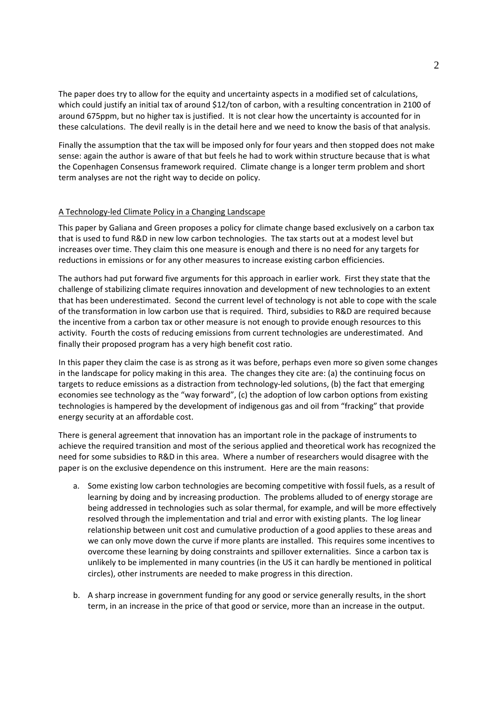# **Copenhagen Consensus on Climate Change**

# **Perspective Paper – Climate Change**

Anil Markandya

Basque Centre for Climate Change, Bilbao, Spain

### **I. Background**

The four papers challenge papers provide a valuable discussion of the options for addressing climate change. The Tol paper examines the possible role of economic instruments such as carbon taxes; the Galiana and Green paper emphasizes the importance of measures to promote the development of technological low carbon solutions; the Bosello et al. paper looks at the balance between adaptation and mitigation and the Bickel and Lane paper makes a case for investing in finding out more about geoengineering.

I review each of the papers briefly and in the final section I give my overall assessment of how well they cover the issues that arise when formulating climate policy.

### **II. Review of Challenge Papers**

#### An Updated Analysis of Carbon Dioxide Emission Abatement as a Response to Climate Change

This paper by Tol provides an excellent review of the state of knowledge on climate economics and notes that the most efficient economic instrument to reduce GHGs is a carbon tax. Some might argue that emissions trading is equally good if not better (Aldy and Stavins, 2008) and politically has a better chance of being implemented so perhaps the case for a carbon tax is not so clear.

The paper surveys the literature on the economic impacts of climate change very well indeed and rightly concludes that: (a) these vary a lot from country to country with negative impacts falling disproportionally on the poor and (b) there is still a great deal of uncertainty about the numbers. On the costs of mitigation he is also right to note that deep cuts are possible and the costs of making these cuts is not that high if the reductions are made progressively, starting from a low base.

The paper then goes on to consider different carbon tax profiles, with a cost in welfare terms of \$75 billion over four years. These give rise to different concentrations of GHGs in 2100. His calculations show a benefit cost ratio of over one for the tax scenarios that are very low in the initial year (less than \$3/ton carbon). However these scenarios result in concentrations that are well above the current consensus level of 450ppm, while the tax scenario needed to get to that level involves a tax of around \$250/ton of carbon and has a benefit cost ratio of only 0.2.

There are several problems with the analysis and the author is aware of them. First it ignores the equity and uncertainty aspects of the problem, taking point estimates of damages through the social costs of carbon. Moreover the estimates he takes (from the FUND model) are on the low side from the range that exists in the literature.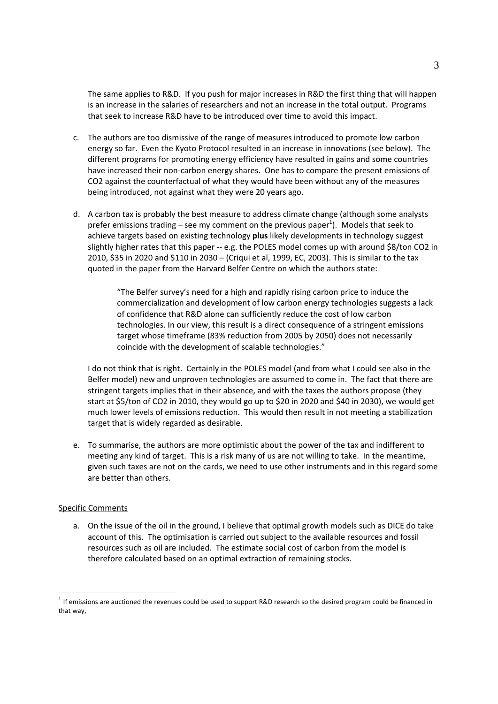The paper does try to allow for the equity and uncertainty aspects in a modified set of calculations, which could justify an initial tax of around \$12/ton of carbon, with a resulting concentration in 2100 of around 675ppm, but no higher tax is justified. It is not clear how the uncertainty is accounted for in these calculations. The devil really is in the detail here and we need to know the basis of that analysis.

Finally the assumption that the tax will be imposed only for four years and then stopped does not make sense: again the author is aware of that but feels he had to work within structure because that is what the Copenhagen Consensus framework required. Climate change is a longer term problem and short term analyses are not the right way to decide on policy.

#### A Technology‐led Climate Policy in a Changing Landscape

This paper by Galiana and Green proposes a policy for climate change based exclusively on a carbon tax that is used to fund R&D in new low carbon technologies. The tax starts out at a modest level but increases over time. They claim this one measure is enough and there is no need for any targets for reductions in emissions or for any other measures to increase existing carbon efficiencies.

The authors had put forward five arguments for this approach in earlier work. First they state that the challenge of stabilizing climate requires innovation and development of new technologies to an extent that has been underestimated. Second the current level of technology is not able to cope with the scale of the transformation in low carbon use that is required. Third, subsidies to R&D are required because the incentive from a carbon tax or other measure is not enough to provide enough resources to this activity. Fourth the costs of reducing emissions from current technologies are underestimated. And finally their proposed program has a very high benefit cost ratio.

In this paper they claim the case is as strong as it was before, perhaps even more so given some changes in the landscape for policy making in this area. The changes they cite are: (a) the continuing focus on targets to reduce emissions as a distraction from technology-led solutions, (b) the fact that emerging economies see technology as the "way forward", (c) the adoption of low carbon options from existing technologies is hampered by the development of indigenous gas and oil from "fracking" that provide energy security at an affordable cost.

There is general agreement that innovation has an important role in the package of instruments to achieve the required transition and most of the serious applied and theoretical work has recognized the need for some subsidies to R&D in this area. Where a number of researchers would disagree with the paper is on the exclusive dependence on this instrument. Here are the main reasons:

- a. Some existing low carbon technologies are becoming competitive with fossil fuels, as a result of learning by doing and by increasing production. The problems alluded to of energy storage are being addressed in technologies such as solar thermal, for example, and will be more effectively resolved through the implementation and trial and error with existing plants. The log linear relationship between unit cost and cumulative production of a good applies to these areas and we can only move down the curve if more plants are installed. This requires some incentives to overcome these learning by doing constraints and spillover externalities. Since a carbon tax is unlikely to be implemented in many countries (in the US it can hardly be mentioned in political circles), other instruments are needed to make progress in this direction.
- b. A sharp increase in government funding for any good or service generally results, in the short term, in an increase in the price of that good or service, more than an increase in the output.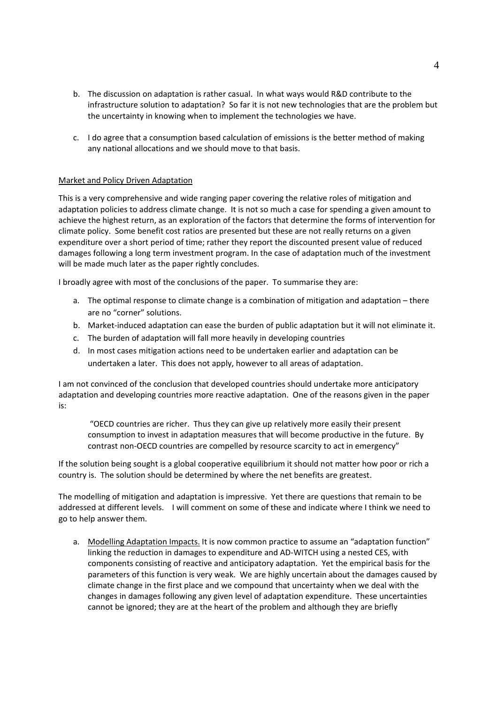The same applies to R&D. If you push for major increases in R&D the first thing that will happen is an increase in the salaries of researchers and not an increase in the total output. Programs that seek to increase R&D have to be introduced over time to avoid this impact.

- c. The authors are too dismissive of the range of measures introduced to promote low carbon energy so far. Even the Kyoto Protocol resulted in an increase in innovations (see below). The different programs for promoting energy efficiency have resulted in gains and some countries have increased their non-carbon energy shares. One has to compare the present emissions of CO2 against the counterfactual of what they would have been without any of the measures being introduced, not against what they were 20 years ago.
- d. A carbon tax is probably the best measure to address climate change (although some analysts prefer emissions trading – see my comment on the previous paper<sup>1</sup>). Models that seek to achieve targets based on existing technology **plus** likely developments in technology suggest slightly higher rates that this paper ‐‐ e.g. the POLES model comes up with around \$8/ton CO2 in 2010, \$35 in 2020 and \$110 in 2030 – (Criqui et al, 1999, EC, 2003). This is similar to the tax quoted in the paper from the Harvard Belfer Centre on which the authors state:

"The Belfer survey's need for a high and rapidly rising carbon price to induce the commercialization and development of low carbon energy technologies suggests a lack of confidence that R&D alone can sufficiently reduce the cost of low carbon technologies. In our view, this result is a direct consequence of a stringent emissions target whose timeframe (83% reduction from 2005 by 2050) does not necessarily coincide with the development of scalable technologies."

I do not think that is right. Certainly in the POLES model (and from what I could see also in the Belfer model) new and unproven technologies are assumed to come in. The fact that there are stringent targets implies that in their absence, and with the taxes the authors propose (they start at \$5/ton of CO2 in 2010, they would go up to \$20 in 2020 and \$40 in 2030), we would get much lower levels of emissions reduction. This would then result in not meeting a stabilization target that is widely regarded as desirable.

e. To summarise, the authors are more optimistic about the power of the tax and indifferent to meeting any kind of target. This is a risk many of us are not willing to take. In the meantime, given such taxes are not on the cards, we need to use other instruments and in this regard some are better than others.

#### Specific Comments

<u>.</u>

a. On the issue of the oil in the ground, I believe that optimal growth models such as DICE do take account of this. The optimisation is carried out subject to the available resources and fossil resources such as oil are included. The estimate social cost of carbon from the model is therefore calculated based on an optimal extraction of remaining stocks.

 $1$  If emissions are auctioned the revenues could be used to support R&D research so the desired program could be financed in that way,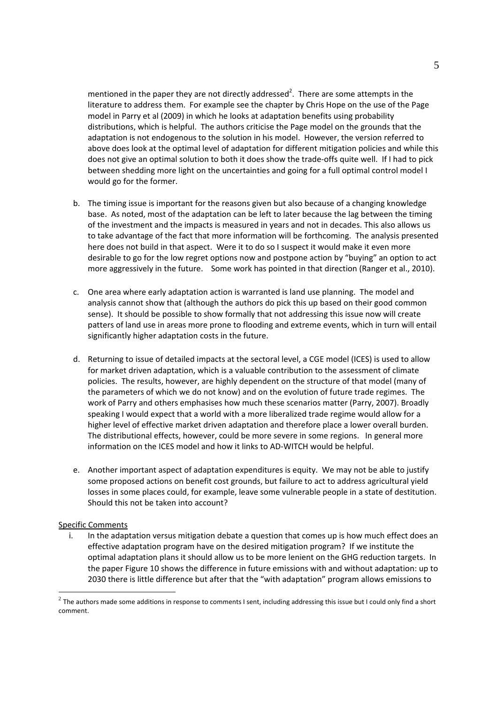- b. The discussion on adaptation is rather casual. In what ways would R&D contribute to the infrastructure solution to adaptation? So far it is not new technologies that are the problem but the uncertainty in knowing when to implement the technologies we have.
- c. I do agree that a consumption based calculation of emissions is the better method of making any national allocations and we should move to that basis.

## Market and Policy Driven Adaptation

This is a very comprehensive and wide ranging paper covering the relative roles of mitigation and adaptation policies to address climate change. It is not so much a case for spending a given amount to achieve the highest return, as an exploration of the factors that determine the forms of intervention for climate policy. Some benefit cost ratios are presented but these are not really returns on a given expenditure over a short period of time; rather they report the discounted present value of reduced damages following a long term investment program. In the case of adaptation much of the investment will be made much later as the paper rightly concludes.

I broadly agree with most of the conclusions of the paper. To summarise they are:

- a. The optimal response to climate change is a combination of mitigation and adaptation there are no "corner" solutions.
- b. Market-induced adaptation can ease the burden of public adaptation but it will not eliminate it.
- c. The burden of adaptation will fall more heavily in developing countries
- d. In most cases mitigation actions need to be undertaken earlier and adaptation can be undertaken a later. This does not apply, however to all areas of adaptation.

I am not convinced of the conclusion that developed countries should undertake more anticipatory adaptation and developing countries more reactive adaptation. One of the reasons given in the paper is:

"OECD countries are richer. Thus they can give up relatively more easily their present consumption to invest in adaptation measures that will become productive in the future. By contrast non‐OECD countries are compelled by resource scarcity to act in emergency"

If the solution being sought is a global cooperative equilibrium it should not matter how poor or rich a country is. The solution should be determined by where the net benefits are greatest.

The modelling of mitigation and adaptation is impressive. Yet there are questions that remain to be addressed at different levels. I will comment on some of these and indicate where I think we need to go to help answer them.

a. Modelling Adaptation Impacts. It is now common practice to assume an "adaptation function" linking the reduction in damages to expenditure and AD‐WITCH using a nested CES, with components consisting of reactive and anticipatory adaptation. Yet the empirical basis for the parameters of this function is very weak. We are highly uncertain about the damages caused by climate change in the first place and we compound that uncertainty when we deal with the changes in damages following any given level of adaptation expenditure. These uncertainties cannot be ignored; they are at the heart of the problem and although they are briefly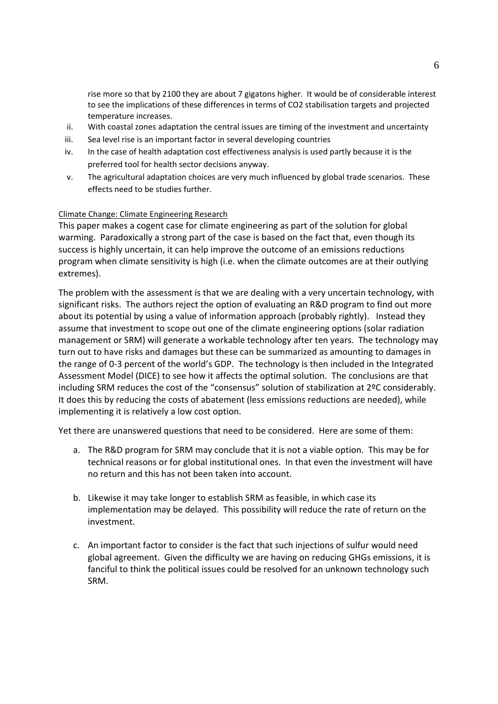mentioned in the paper they are not directly addressed<sup>2</sup>. There are some attempts in the literature to address them. For example see the chapter by Chris Hope on the use of the Page model in Parry et al (2009) in which he looks at adaptation benefits using probability distributions, which is helpful. The authors criticise the Page model on the grounds that the adaptation is not endogenous to the solution in his model. However, the version referred to above does look at the optimal level of adaptation for different mitigation policies and while this does not give an optimal solution to both it does show the trade‐offs quite well. If I had to pick between shedding more light on the uncertainties and going for a full optimal control model I would go for the former.

- b. The timing issue is important for the reasons given but also because of a changing knowledge base. As noted, most of the adaptation can be left to later because the lag between the timing of the investment and the impacts is measured in years and not in decades. This also allows us to take advantage of the fact that more information will be forthcoming. The analysis presented here does not build in that aspect. Were it to do so I suspect it would make it even more desirable to go for the low regret options now and postpone action by "buying" an option to act more aggressively in the future. Some work has pointed in that direction (Ranger et al., 2010).
- c. One area where early adaptation action is warranted is land use planning. The model and analysis cannot show that (although the authors do pick this up based on their good common sense). It should be possible to show formally that not addressing this issue now will create patters of land use in areas more prone to flooding and extreme events, which in turn will entail significantly higher adaptation costs in the future.
- d. Returning to issue of detailed impacts at the sectoral level, a CGE model (ICES) is used to allow for market driven adaptation, which is a valuable contribution to the assessment of climate policies. The results, however, are highly dependent on the structure of that model (many of the parameters of which we do not know) and on the evolution of future trade regimes. The work of Parry and others emphasises how much these scenarios matter (Parry, 2007). Broadly speaking I would expect that a world with a more liberalized trade regime would allow for a higher level of effective market driven adaptation and therefore place a lower overall burden. The distributional effects, however, could be more severe in some regions. In general more information on the ICES model and how it links to AD‐WITCH would be helpful.
- e. Another important aspect of adaptation expenditures is equity. We may not be able to justify some proposed actions on benefit cost grounds, but failure to act to address agricultural yield losses in some places could, for example, leave some vulnerable people in a state of destitution. Should this not be taken into account?

#### Specific Comments

<u>.</u>

i. In the adaptation versus mitigation debate a question that comes up is how much effect does an effective adaptation program have on the desired mitigation program? If we institute the optimal adaptation plans it should allow us to be more lenient on the GHG reduction targets. In the paper Figure 10 shows the difference in future emissions with and without adaptation: up to 2030 there is little difference but after that the "with adaptation" program allows emissions to

 $2$  The authors made some additions in response to comments I sent, including addressing this issue but I could only find a short comment.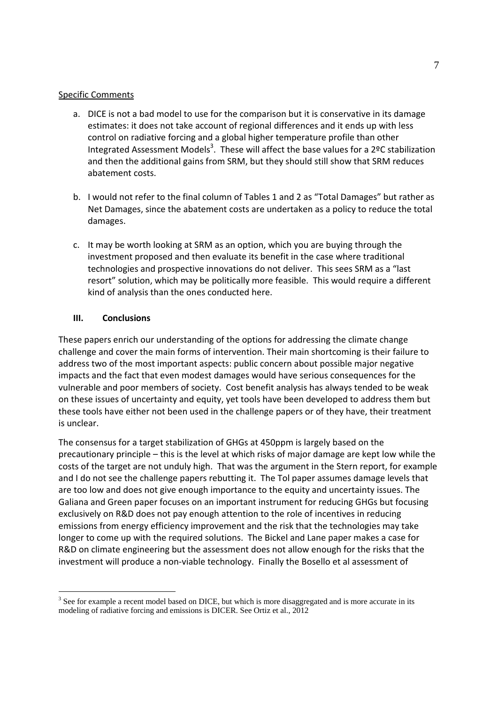rise more so that by 2100 they are about 7 gigatons higher. It would be of considerable interest to see the implications of these differences in terms of CO2 stabilisation targets and projected temperature increases.

- ii. With coastal zones adaptation the central issues are timing of the investment and uncertainty
- iii. Sea level rise is an important factor in several developing countries
- iv. In the case of health adaptation cost effectiveness analysis is used partly because it is the preferred tool for health sector decisions anyway.
- v. The agricultural adaptation choices are very much influenced by global trade scenarios. These effects need to be studies further.

## Climate Change: Climate Engineering Research

This paper makes a cogent case for climate engineering as part of the solution for global warming. Paradoxically a strong part of the case is based on the fact that, even though its success is highly uncertain, it can help improve the outcome of an emissions reductions program when climate sensitivity is high (i.e. when the climate outcomes are at their outlying extremes).

The problem with the assessment is that we are dealing with a very uncertain technology, with significant risks. The authors reject the option of evaluating an R&D program to find out more about its potential by using a value of information approach (probably rightly). Instead they assume that investment to scope out one of the climate engineering options (solar radiation management or SRM) will generate a workable technology after ten years. The technology may turn out to have risks and damages but these can be summarized as amounting to damages in the range of 0‐3 percent of the world's GDP. The technology is then included in the Integrated Assessment Model (DICE) to see how it affects the optimal solution. The conclusions are that including SRM reduces the cost of the "consensus" solution of stabilization at 2ºC considerably. It does this by reducing the costs of abatement (less emissions reductions are needed), while implementing it is relatively a low cost option.

Yet there are unanswered questions that need to be considered. Here are some of them:

- a. The R&D program for SRM may conclude that it is not a viable option. This may be for technical reasons or for global institutional ones. In that even the investment will have no return and this has not been taken into account.
- b. Likewise it may take longer to establish SRM as feasible, in which case its implementation may be delayed. This possibility will reduce the rate of return on the investment.
- c. An important factor to consider is the fact that such injections of sulfur would need global agreement. Given the difficulty we are having on reducing GHGs emissions, it is fanciful to think the political issues could be resolved for an unknown technology such SRM.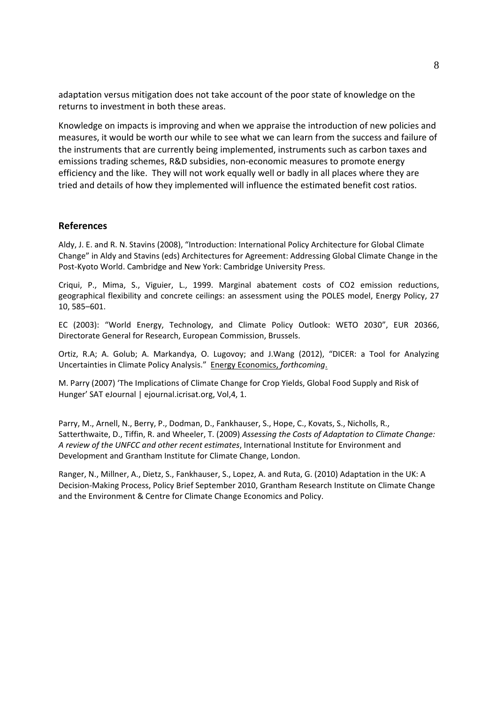## Specific Comments

- a. DICE is not a bad model to use for the comparison but it is conservative in its damage estimates: it does not take account of regional differences and it ends up with less control on radiative forcing and a global higher temperature profile than other Integrated Assessment Models<sup>3</sup>. These will affect the base values for a 2ºC stabilization and then the additional gains from SRM, but they should still show that SRM reduces abatement costs.
- b. I would not refer to the final column of Tables 1 and 2 as "Total Damages" but rather as Net Damages, since the abatement costs are undertaken as a policy to reduce the total damages.
- c. It may be worth looking at SRM as an option, which you are buying through the investment proposed and then evaluate its benefit in the case where traditional technologies and prospective innovations do not deliver. This sees SRM as a "last resort" solution, which may be politically more feasible. This would require a different kind of analysis than the ones conducted here.

## **III. Conclusions**

1

These papers enrich our understanding of the options for addressing the climate change challenge and cover the main forms of intervention. Their main shortcoming is their failure to address two of the most important aspects: public concern about possible major negative impacts and the fact that even modest damages would have serious consequences for the vulnerable and poor members of society. Cost benefit analysis has always tended to be weak on these issues of uncertainty and equity, yet tools have been developed to address them but these tools have either not been used in the challenge papers or of they have, their treatment is unclear.

The consensus for a target stabilization of GHGs at 450ppm is largely based on the precautionary principle – this is the level at which risks of major damage are kept low while the costs of the target are not unduly high. That was the argument in the Stern report, for example and I do not see the challenge papers rebutting it. The Tol paper assumes damage levels that are too low and does not give enough importance to the equity and uncertainty issues. The Galiana and Green paper focuses on an important instrument for reducing GHGs but focusing exclusively on R&D does not pay enough attention to the role of incentives in reducing emissions from energy efficiency improvement and the risk that the technologies may take longer to come up with the required solutions. The Bickel and Lane paper makes a case for R&D on climate engineering but the assessment does not allow enough for the risks that the investment will produce a non-viable technology. Finally the Bosello et al assessment of

<sup>&</sup>lt;sup>3</sup> See for example a recent model based on DICE, but which is more disaggregated and is more accurate in its modeling of radiative forcing and emissions is DICER. See Ortiz et al., 2012